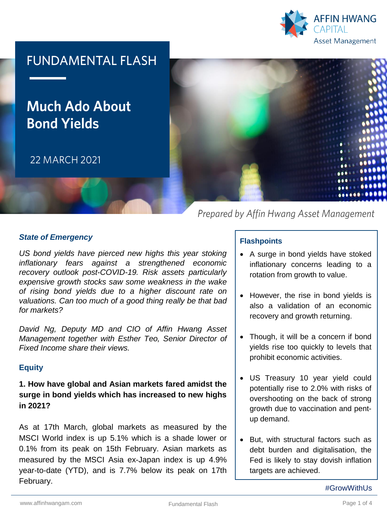

## **FUNDAMENTAL FLASH**

# **Much Ado About Bond Yields**

22 MARCH 2021



Prepared by Affin Hwang Asset Management

#### *State of Emergency*

*US bond yields have pierced new highs this year stoking inflationary fears against a strengthened economic recovery outlook post-COVID-19. Risk assets particularly expensive growth stocks saw some weakness in the wake of rising bond yields due to a higher discount rate on valuations. Can too much of a good thing really be that bad for markets?*

*David Ng, Deputy MD and CIO of Affin Hwang Asset Management together with Esther Teo, Senior Director of Fixed Income share their views.*

#### **Equity**

#### **1. How have global and Asian markets fared amidst the surge in bond yields which has increased to new highs in 2021?**

As at 17th March, global markets as measured by the MSCI World index is up 5.1% which is a shade lower or 0.1% from its peak on 15th February. Asian markets as measured by the MSCI Asia ex-Japan index is up 4.9% year-to-date (YTD), and is 7.7% below its peak on 17th February.

#### **Flashpoints**

- A surge in bond yields have stoked inflationary concerns leading to a rotation from growth to value.
- However, the rise in bond yields is also a validation of an economic recovery and growth returning.
- Though, it will be a concern if bond yields rise too quickly to levels that prohibit economic activities.
- US Treasury 10 year yield could potentially rise to 2.0% with risks of overshooting on the back of strong growth due to vaccination and pentup demand.
- But, with structural factors such as debt burden and digitalisation, the Fed is likely to stay dovish inflation targets are achieved.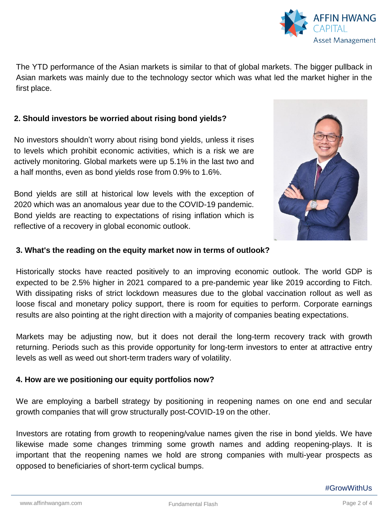

The YTD performance of the Asian markets is similar to that of global markets. The bigger pullback in Asian markets was mainly due to the technology sector which was what led the market higher in the first place.

#### **2. Should investors be worried about rising bond yields?**

No investors shouldn't worry about rising bond yields, unless it rises to levels which prohibit economic activities, which is a risk we are actively monitoring. Global markets were up 5.1% in the last two and a half months, even as bond yields rose from 0.9% to 1.6%.

Bond yields are still at historical low levels with the exception of 2020 which was an anomalous year due to the COVID-19 pandemic. Bond yields are reacting to expectations of rising inflation which is reflective of a recovery in global economic outlook.



#### **3. What's the reading on the equity market now in terms of outlook?**

Historically stocks have reacted positively to an improving economic outlook. The world GDP is expected to be 2.5% higher in 2021 compared to a pre-pandemic year like 2019 according to Fitch. With dissipating risks of strict lockdown measures due to the global vaccination rollout as well as loose fiscal and monetary policy support, there is room for equities to perform. Corporate earnings results are also pointing at the right direction with a majority of companies beating expectations.

Markets may be adjusting now, but it does not derail the long-term recovery track with growth returning. Periods such as this provide opportunity for long-term investors to enter at attractive entry levels as well as weed out short-term traders wary of volatility.

#### **4. How are we positioning our equity portfolios now?**

We are employing a barbell strategy by positioning in reopening names on one end and secular growth companies that will grow structurally post-COVID-19 on the other.

Investors are rotating from growth to reopening/value names given the rise in bond yields. We have likewise made some changes trimming some growth names and adding reopening-plays. It is important that the reopening names we hold are strong companies with multi-year prospects as opposed to beneficiaries of short-term cyclical bumps.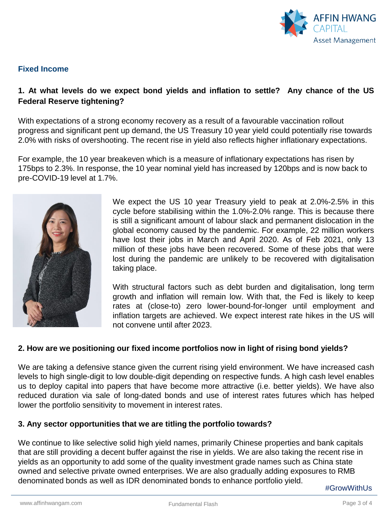

#### **Fixed Income**

### **1. At what levels do we expect bond yields and inflation to settle? Any chance of the US Federal Reserve tightening?**

With expectations of a strong economy recovery as a result of a favourable vaccination rollout progress and significant pent up demand, the US Treasury 10 year yield could potentially rise towards 2.0% with risks of overshooting. The recent rise in yield also reflects higher inflationary expectations.

For example, the 10 year breakeven which is a measure of inflationary expectations has risen by 175bps to 2.3%. In response, the 10 year nominal yield has increased by 120bps and is now back to pre-COVID-19 level at 1.7%.



We expect the US 10 year Treasury yield to peak at 2.0%-2.5% in this cycle before stabilising within the 1.0%-2.0% range. This is because there is still a significant amount of labour slack and permanent dislocation in the global economy caused by the pandemic. For example, 22 million workers have lost their jobs in March and April 2020. As of Feb 2021, only 13 million of these jobs have been recovered. Some of these jobs that were lost during the pandemic are unlikely to be recovered with digitalisation taking place.

With structural factors such as debt burden and digitalisation, long term growth and inflation will remain low. With that, the Fed is likely to keep rates at (close-to) zero lower-bound-for-longer until employment and inflation targets are achieved. We expect interest rate hikes in the US will not convene until after 2023.

#### **2. How are we positioning our fixed income portfolios now in light of rising bond yields?**

We are taking a defensive stance given the current rising yield environment. We have increased cash levels to high single-digit to low double-digit depending on respective funds. A high cash level enables us to deploy capital into papers that have become more attractive (i.e. better yields). We have also reduced duration via sale of long-dated bonds and use of interest rates futures which has helped lower the portfolio sensitivity to movement in interest rates.

#### **3. Any sector opportunities that we are titling the portfolio towards?**

We continue to like selective solid high yield names, primarily Chinese properties and bank capitals that are still providing a decent buffer against the rise in yields. We are also taking the recent rise in yields as an opportunity to add some of the quality investment grade names such as China state owned and selective private owned enterprises. We are also gradually adding exposures to RMB denominated bonds as well as IDR denominated bonds to enhance portfolio yield.

#GrowWithUs